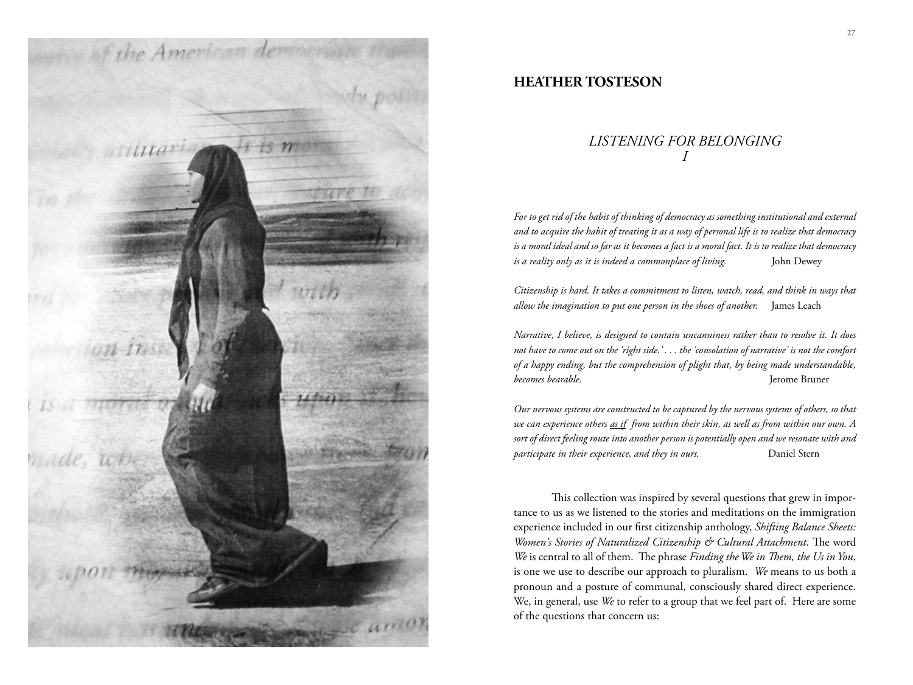

## **HEATHER TOSTESON**

## *LISTENING FOR BELONGING I*

*For to get rid of the habit of thinking of democracy as something institutional and external and to acquire the habit of treating it as a way of personal life is to realize that democracy is a moral ideal and so far as it becomes a fact is a moral fact. It is to realize that democracy is a reality only as it is indeed a commonplace of living.* John Dewey

*Citizenship is hard. It takes a commitment to listen, watch, read, and think in ways that allow the imagination to put one person in the shoes of another.* James Leach

*Narrative, I believe, is designed to contain uncanniness rather than to resolve it. It does not have to come out on the 'right side.' . . . the 'consolation of narrative' is not the comfort of a happy ending, but the comprehension of plight that, by being made understandable, becomes bearable.* Jerome Bruner

*Our nervous systems are constructed to be captured by the nervous systems of others, so that we can experience others as if from within their skin, as well as from within our own. A sort of direct feeling route into another person is potentially open and we resonate with and participate in their experience, and they in ours.* Daniel Stern

This collection was inspired by several questions that grew in importance to us as we listened to the stories and meditations on the immigration experience included in our first citizenship anthology, *Shifting Balance Sheets: Women's Stories of Naturalized Citizenship & Cultural Attachment*. The word *We* is central to all of them. The phrase *Finding the We in Them, the Us in You*, is one we use to describe our approach to pluralism. *We* means to us both a pronoun and a posture of communal, consciously shared direct experience. We, in general, use *We* to refer to a group that we feel part of. Here are some of the questions that concern us: